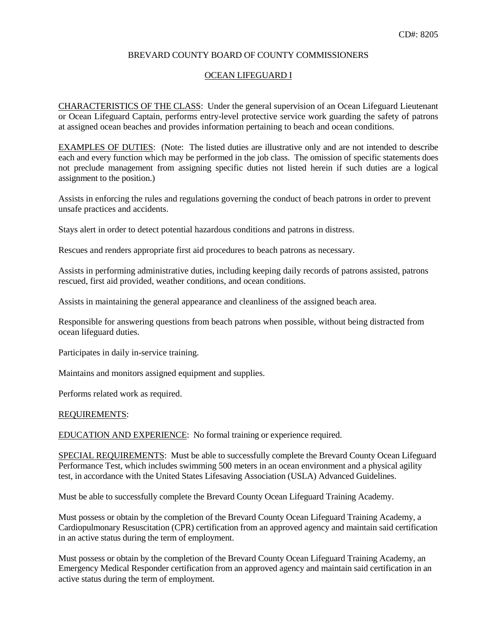### BREVARD COUNTY BOARD OF COUNTY COMMISSIONERS

### OCEAN LIFEGUARD I

CHARACTERISTICS OF THE CLASS: Under the general supervision of an Ocean Lifeguard Lieutenant or Ocean Lifeguard Captain, performs entry-level protective service work guarding the safety of patrons at assigned ocean beaches and provides information pertaining to beach and ocean conditions.

EXAMPLES OF DUTIES: (Note: The listed duties are illustrative only and are not intended to describe each and every function which may be performed in the job class. The omission of specific statements does not preclude management from assigning specific duties not listed herein if such duties are a logical assignment to the position.)

Assists in enforcing the rules and regulations governing the conduct of beach patrons in order to prevent unsafe practices and accidents.

Stays alert in order to detect potential hazardous conditions and patrons in distress.

Rescues and renders appropriate first aid procedures to beach patrons as necessary.

Assists in performing administrative duties, including keeping daily records of patrons assisted, patrons rescued, first aid provided, weather conditions, and ocean conditions.

Assists in maintaining the general appearance and cleanliness of the assigned beach area.

Responsible for answering questions from beach patrons when possible, without being distracted from ocean lifeguard duties.

Participates in daily in-service training.

Maintains and monitors assigned equipment and supplies.

Performs related work as required.

#### REQUIREMENTS:

EDUCATION AND EXPERIENCE: No formal training or experience required.

SPECIAL REQUIREMENTS: Must be able to successfully complete the Brevard County Ocean Lifeguard Performance Test, which includes swimming 500 meters in an ocean environment and a physical agility test, in accordance with the United States Lifesaving Association (USLA) Advanced Guidelines.

Must be able to successfully complete the Brevard County Ocean Lifeguard Training Academy.

Must possess or obtain by the completion of the Brevard County Ocean Lifeguard Training Academy, a Cardiopulmonary Resuscitation (CPR) certification from an approved agency and maintain said certification in an active status during the term of employment.

Must possess or obtain by the completion of the Brevard County Ocean Lifeguard Training Academy, an Emergency Medical Responder certification from an approved agency and maintain said certification in an active status during the term of employment.